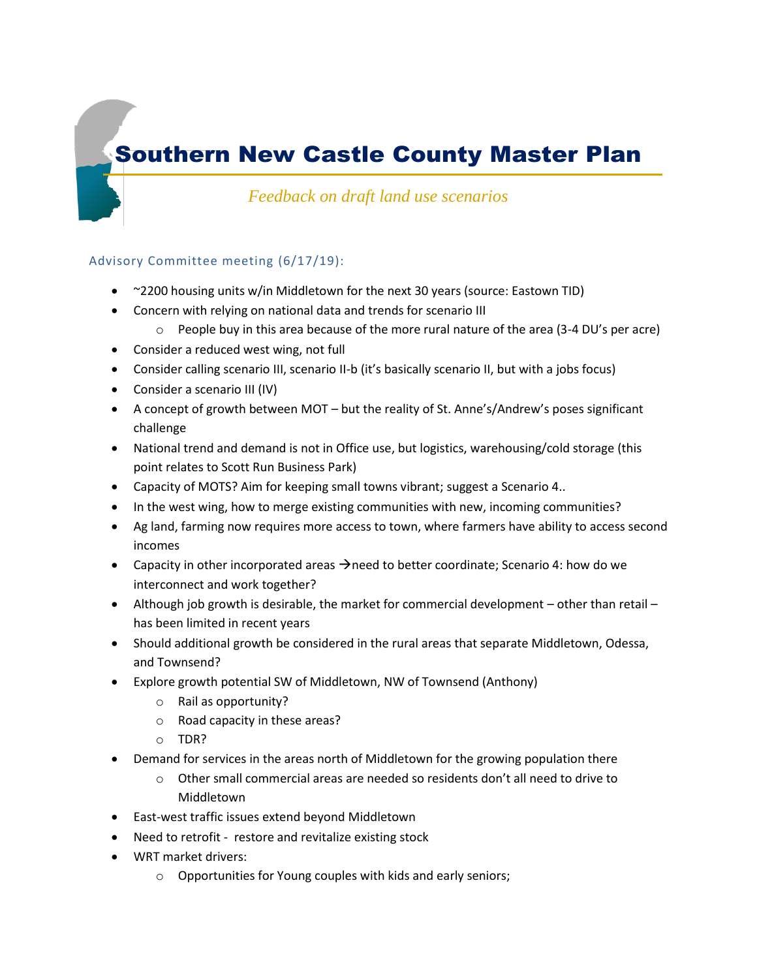# Southern New Castle County Master Plan

*Feedback on draft land use scenarios*

### Advisory Committee meeting (6/17/19):

- ~2200 housing units w/in Middletown for the next 30 years (source: Eastown TID)
- Concern with relying on national data and trends for scenario III
	- $\circ$  People buy in this area because of the more rural nature of the area (3-4 DU's per acre)
- Consider a reduced west wing, not full
- Consider calling scenario III, scenario II-b (it's basically scenario II, but with a jobs focus)
- Consider a scenario III (IV)
- A concept of growth between MOT but the reality of St. Anne's/Andrew's poses significant challenge
- National trend and demand is not in Office use, but logistics, warehousing/cold storage (this point relates to Scott Run Business Park)
- Capacity of MOTS? Aim for keeping small towns vibrant; suggest a Scenario 4..
- In the west wing, how to merge existing communities with new, incoming communities?
- Ag land, farming now requires more access to town, where farmers have ability to access second incomes
- Capacity in other incorporated areas  $\rightarrow$  need to better coordinate; Scenario 4: how do we interconnect and work together?
- Although job growth is desirable, the market for commercial development other than retail has been limited in recent years
- Should additional growth be considered in the rural areas that separate Middletown, Odessa, and Townsend?
- Explore growth potential SW of Middletown, NW of Townsend (Anthony)
	- o Rail as opportunity?
	- o Road capacity in these areas?
	- o TDR?
- Demand for services in the areas north of Middletown for the growing population there
	- $\circ$  Other small commercial areas are needed so residents don't all need to drive to Middletown
- East-west traffic issues extend beyond Middletown
- Need to retrofit restore and revitalize existing stock
- WRT market drivers:
	- o Opportunities for Young couples with kids and early seniors;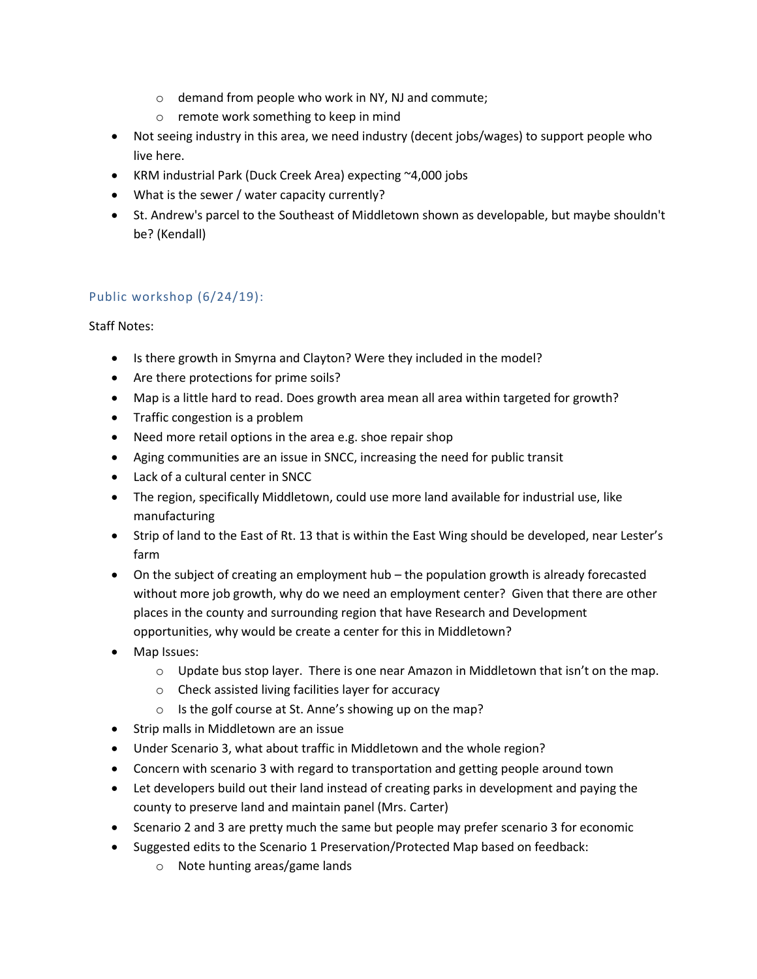- o demand from people who work in NY, NJ and commute;
- o remote work something to keep in mind
- Not seeing industry in this area, we need industry (decent jobs/wages) to support people who live here.
- KRM industrial Park (Duck Creek Area) expecting ~4,000 jobs
- What is the sewer / water capacity currently?
- St. Andrew's parcel to the Southeast of Middletown shown as developable, but maybe shouldn't be? (Kendall)

## Public workshop (6/24/19):

## Staff Notes:

- Is there growth in Smyrna and Clayton? Were they included in the model?
- Are there protections for prime soils?
- Map is a little hard to read. Does growth area mean all area within targeted for growth?
- Traffic congestion is a problem
- Need more retail options in the area e.g. shoe repair shop
- Aging communities are an issue in SNCC, increasing the need for public transit
- Lack of a cultural center in SNCC
- The region, specifically Middletown, could use more land available for industrial use, like manufacturing
- Strip of land to the East of Rt. 13 that is within the East Wing should be developed, near Lester's farm
- On the subject of creating an employment hub the population growth is already forecasted without more job growth, why do we need an employment center? Given that there are other places in the county and surrounding region that have Research and Development opportunities, why would be create a center for this in Middletown?
- Map Issues:
	- o Update bus stop layer. There is one near Amazon in Middletown that isn't on the map.
	- o Check assisted living facilities layer for accuracy
	- o Is the golf course at St. Anne's showing up on the map?
- Strip malls in Middletown are an issue
- Under Scenario 3, what about traffic in Middletown and the whole region?
- Concern with scenario 3 with regard to transportation and getting people around town
- Let developers build out their land instead of creating parks in development and paying the county to preserve land and maintain panel (Mrs. Carter)
- Scenario 2 and 3 are pretty much the same but people may prefer scenario 3 for economic
- Suggested edits to the Scenario 1 Preservation/Protected Map based on feedback:
	- o Note hunting areas/game lands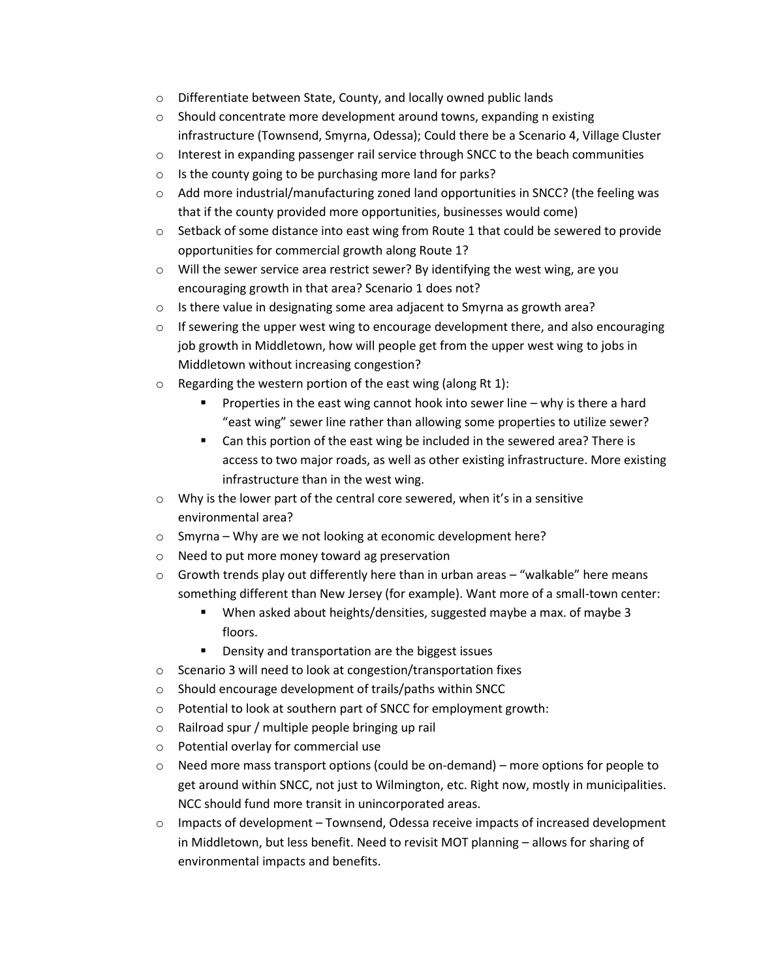- o Differentiate between State, County, and locally owned public lands
- $\circ$  Should concentrate more development around towns, expanding n existing infrastructure (Townsend, Smyrna, Odessa); Could there be a Scenario 4, Village Cluster
- $\circ$  Interest in expanding passenger rail service through SNCC to the beach communities
- o Is the county going to be purchasing more land for parks?
- $\circ$  Add more industrial/manufacturing zoned land opportunities in SNCC? (the feeling was that if the county provided more opportunities, businesses would come)
- $\circ$  Setback of some distance into east wing from Route 1 that could be sewered to provide opportunities for commercial growth along Route 1?
- $\circ$  Will the sewer service area restrict sewer? By identifying the west wing, are you encouraging growth in that area? Scenario 1 does not?
- $\circ$  Is there value in designating some area adjacent to Smyrna as growth area?
- $\circ$  If sewering the upper west wing to encourage development there, and also encouraging job growth in Middletown, how will people get from the upper west wing to jobs in Middletown without increasing congestion?
- $\circ$  Regarding the western portion of the east wing (along Rt 1):
	- Properties in the east wing cannot hook into sewer line why is there a hard "east wing" sewer line rather than allowing some properties to utilize sewer?
	- Can this portion of the east wing be included in the sewered area? There is access to two major roads, as well as other existing infrastructure. More existing infrastructure than in the west wing.
- o Why is the lower part of the central core sewered, when it's in a sensitive environmental area?
- o Smyrna Why are we not looking at economic development here?
- o Need to put more money toward ag preservation
- $\circ$  Growth trends play out differently here than in urban areas "walkable" here means something different than New Jersey (for example). Want more of a small-town center:
	- When asked about heights/densities, suggested maybe a max. of maybe 3 floors.
	- Density and transportation are the biggest issues
- o Scenario 3 will need to look at congestion/transportation fixes
- o Should encourage development of trails/paths within SNCC
- o Potential to look at southern part of SNCC for employment growth:
- o Railroad spur / multiple people bringing up rail
- o Potential overlay for commercial use
- $\circ$  Need more mass transport options (could be on-demand) more options for people to get around within SNCC, not just to Wilmington, etc. Right now, mostly in municipalities. NCC should fund more transit in unincorporated areas.
- $\circ$  Impacts of development Townsend, Odessa receive impacts of increased development in Middletown, but less benefit. Need to revisit MOT planning – allows for sharing of environmental impacts and benefits.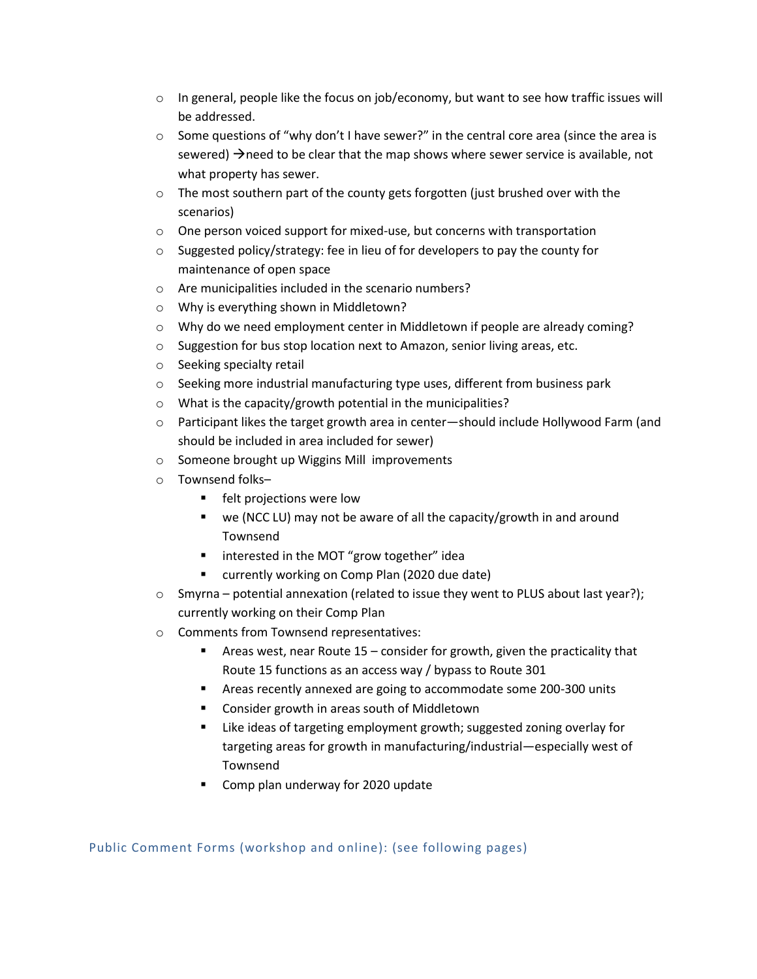- $\circ$  In general, people like the focus on job/economy, but want to see how traffic issues will be addressed.
- $\circ$  Some questions of "why don't I have sewer?" in the central core area (since the area is sewered)  $\rightarrow$  need to be clear that the map shows where sewer service is available, not what property has sewer.
- $\circ$  The most southern part of the county gets forgotten (just brushed over with the scenarios)
- o One person voiced support for mixed-use, but concerns with transportation
- o Suggested policy/strategy: fee in lieu of for developers to pay the county for maintenance of open space
- o Are municipalities included in the scenario numbers?
- o Why is everything shown in Middletown?
- $\circ$  Why do we need employment center in Middletown if people are already coming?
- o Suggestion for bus stop location next to Amazon, senior living areas, etc.
- o Seeking specialty retail
- $\circ$  Seeking more industrial manufacturing type uses, different from business park
- o What is the capacity/growth potential in the municipalities?
- o Participant likes the target growth area in center—should include Hollywood Farm (and should be included in area included for sewer)
- o Someone brought up Wiggins Mill improvements
- o Townsend folks–
	- felt projections were low
	- we (NCC LU) may not be aware of all the capacity/growth in and around Townsend
	- interested in the MOT "grow together" idea
	- currently working on Comp Plan (2020 due date)
- o Smyrna potential annexation (related to issue they went to PLUS about last year?); currently working on their Comp Plan
- o Comments from Townsend representatives:
	- Areas west, near Route 15 consider for growth, given the practicality that Route 15 functions as an access way / bypass to Route 301
	- Areas recently annexed are going to accommodate some 200-300 units
	- Consider growth in areas south of Middletown
	- Like ideas of targeting employment growth; suggested zoning overlay for targeting areas for growth in manufacturing/industrial—especially west of Townsend
	- Comp plan underway for 2020 update

Public Comment Forms (workshop and online): (see following pages)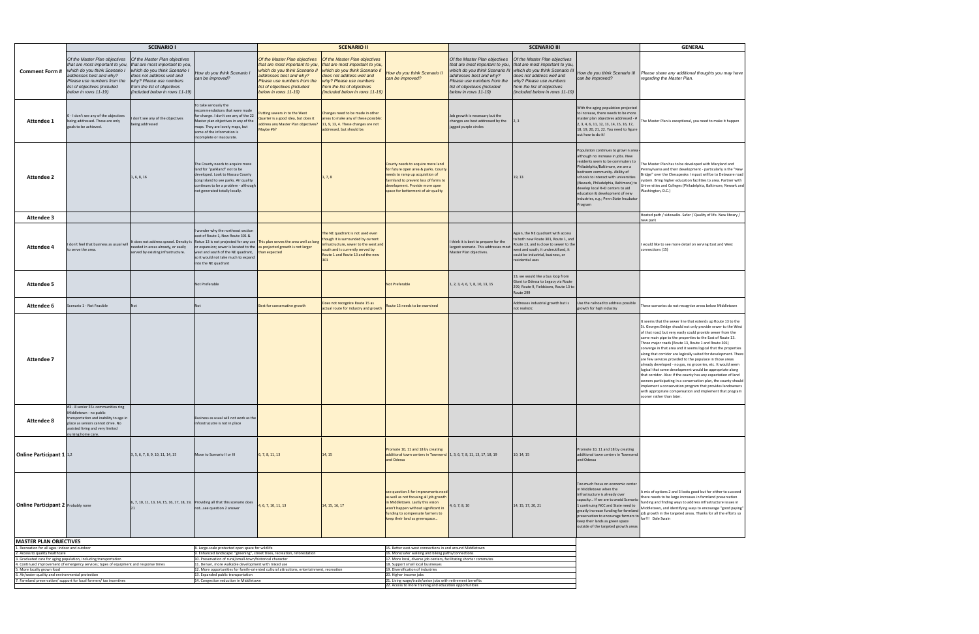|                                                                                 | <b>SCENARIO I</b>                                                                                                                                                                                                   |                                                                                                                                                                                                                            |                                                                                                                                                                                                                                                             |                                                                                                                                                                                                                      | <b>SCENARIO II</b>                                                                                                                                                                                                          |                                                                                                                                                                                                                                | <b>SCENARIO III</b>                                                                                                                                                                |                                                                                                                                                                                                                                                              |                                                                                                                                                                                                                                                                                                                                                                                                 | <b>GENERAL</b>                                                                                                                                                                                                                                                                                                                                                                                                                                                                                                                                                                                                                                                                                                                                                                                                                                                                                                                        |
|---------------------------------------------------------------------------------|---------------------------------------------------------------------------------------------------------------------------------------------------------------------------------------------------------------------|----------------------------------------------------------------------------------------------------------------------------------------------------------------------------------------------------------------------------|-------------------------------------------------------------------------------------------------------------------------------------------------------------------------------------------------------------------------------------------------------------|----------------------------------------------------------------------------------------------------------------------------------------------------------------------------------------------------------------------|-----------------------------------------------------------------------------------------------------------------------------------------------------------------------------------------------------------------------------|--------------------------------------------------------------------------------------------------------------------------------------------------------------------------------------------------------------------------------|------------------------------------------------------------------------------------------------------------------------------------------------------------------------------------|--------------------------------------------------------------------------------------------------------------------------------------------------------------------------------------------------------------------------------------------------------------|-------------------------------------------------------------------------------------------------------------------------------------------------------------------------------------------------------------------------------------------------------------------------------------------------------------------------------------------------------------------------------------------------|---------------------------------------------------------------------------------------------------------------------------------------------------------------------------------------------------------------------------------------------------------------------------------------------------------------------------------------------------------------------------------------------------------------------------------------------------------------------------------------------------------------------------------------------------------------------------------------------------------------------------------------------------------------------------------------------------------------------------------------------------------------------------------------------------------------------------------------------------------------------------------------------------------------------------------------|
| <b>Comment Form #</b>                                                           | Of the Master Plan objectives<br>that are most important to you,<br>which do you think Scenario I<br>addresses best and why?<br>Please use numbers from the<br>list of objectives (included<br>below in rows 11-19) | Of the Master Plan objectives<br>that are most important to you,<br>which do you think Scenario I<br>does not address well and<br>why? Please use numbers<br>from the list of objectives<br>(included below in rows 11-19) | How do you think Scenario I<br>can be improved?                                                                                                                                                                                                             | Of the Master Plan objectives<br>that are most important to you,<br>which do you think Scenario I.<br>addresses best and why?<br>Please use numbers from the<br>list of objectives (included<br>below in rows 11-19) | Of the Master Plan objectives<br>that are most important to you,<br>which do you think Scenario II<br>does not address well and<br>why? Please use numbers<br>from the list of objectives<br>(included below in rows 11-19) | How do you think Scenario II<br>can be improved?                                                                                                                                                                               | Of the Master Plan objectives<br>that are most important to you,<br>addresses best and why?<br>Please use numbers from the<br>list of objectives (included<br>below in rows 11-19) | Of the Master Plan objectives<br>that are most important to you,<br>which do you think Scenario III which do you think Scenario III<br>does not address well and<br>why? Please use numbers<br>from the list of objectives<br>(included below in rows 11-19) | can be improved?                                                                                                                                                                                                                                                                                                                                                                                | How do you think Scenario III Please share any additional thoughts you may have<br>regarding the Master Plan.                                                                                                                                                                                                                                                                                                                                                                                                                                                                                                                                                                                                                                                                                                                                                                                                                         |
| Attendee 1                                                                      | - I don't see any of the objectives<br>being addressed. These are only<br>goals to be achieved.                                                                                                                     | don't see any of the objectives<br>eing addressed                                                                                                                                                                          | To take seriously the<br>recommendations that were made<br>for change. I don't see any of the 22<br>Master plan objectives in any of the<br>maps. They are lovely maps, but<br>some of the information is<br>incomplete or inaccurate.                      | utting sewers in to the West<br>uarter is a good idea, but does it<br>ddress any Master Plan objectives?<br>Maybe #6?                                                                                                | Changes need to be made in other<br>areas to make any of these possible:<br>11, 9, 13, 4. These changes are not<br>addressed, but should be.                                                                                |                                                                                                                                                                                                                                | Job growth is necessary but the<br>changes are best addressed by the<br>jagged purple circles                                                                                      | 2.3                                                                                                                                                                                                                                                          | With the aging population projected<br>to increase, there needs to be more<br>master plan objectives addressed - #<br>2, 3, 4, 6, 11, 12, 13, 14, 15, 16, 17,<br>18, 19, 20, 21, 22. You need to figure<br>out how to do it!                                                                                                                                                                    | he Master Plan is exceptional, you need to make it happen                                                                                                                                                                                                                                                                                                                                                                                                                                                                                                                                                                                                                                                                                                                                                                                                                                                                             |
| <b>Attendee 2</b>                                                               |                                                                                                                                                                                                                     | 1, 6, 8, 16                                                                                                                                                                                                                | The County needs to acquire more<br>land for "parkland" not to be<br>developed. Look to Nassau County<br>Long Island to see parks. Air quality<br>continues to be a problem - although<br>not generated totally locally.                                    |                                                                                                                                                                                                                      | 1, 7, 8                                                                                                                                                                                                                     | County needs to acquire more land<br>for future open area & parks. County<br>needs to ramp up acquisition of<br>farmland to prevent loss of farms to<br>development. Provide more open<br>space for betterment of air quality  |                                                                                                                                                                                    | 19, 13                                                                                                                                                                                                                                                       | Population continues to grow in area<br>although no increase in jobs. New<br>residents seem to be commuters to<br>Philadelphia/Baltimore, we are a<br>bedroom community. Ability of<br>schools to interact with universities<br>(Newark, Philadelphia, Baltimore) to<br>develop local R+D centers to aid<br>education & development of new<br>industries, e.g.; Penn State Incubator<br>Program | The Master Plan has to be developed with Maryland and<br>ennsylvania and their development - particularly is the "New<br>Bridge" over the Chesapeake. Impact will be to Delaware road<br>ystem. Bring higher education facilities to area. Partner with<br>Jniversities and Colleges (Philadelphia, Baltimore, Newark and<br>Washington, D.C.)                                                                                                                                                                                                                                                                                                                                                                                                                                                                                                                                                                                        |
| <b>Attendee 3</b>                                                               |                                                                                                                                                                                                                     |                                                                                                                                                                                                                            |                                                                                                                                                                                                                                                             |                                                                                                                                                                                                                      |                                                                                                                                                                                                                             |                                                                                                                                                                                                                                |                                                                                                                                                                                    |                                                                                                                                                                                                                                                              |                                                                                                                                                                                                                                                                                                                                                                                                 | Heated path / sidewalks. Safer / Quality of life. New library /<br>ew park                                                                                                                                                                                                                                                                                                                                                                                                                                                                                                                                                                                                                                                                                                                                                                                                                                                            |
| <b>Attendee 4</b>                                                               | don't feel that business as usual will<br>to serve the area.                                                                                                                                                        | It does not address sprawl. Density is<br>eeded in areas already, or easily<br>served by existing infrastructure.                                                                                                          | wonder why the northeast section<br>east of Route 1, New Route 301 &<br>Rotue 13 is not projected for any use<br>or expansion; sewer is located to the<br>west and south of the NE quadrant,<br>so it would not take much to expand<br>into the NE quadrant | his plan serves the area well as long<br>s projected growth is not larger<br>han expected                                                                                                                            | The NE quadrant is not used even<br>hough it is surrounded by current<br>nfrustructure, sewer to the west and<br>south and is currently served by<br>Route 1 and Route 13 and the new                                       |                                                                                                                                                                                                                                | I think it is best to prepare for the<br>largest scenario. This addresses mos<br>Master Plan objectives.                                                                           | Again, the NE quadrant with access<br>b both new Route 301, Route 1, and<br>oute 13, and is close to sewer to the<br>west and south, it underutilized, it<br>could be industrial, business, or<br>esidential uses                                            |                                                                                                                                                                                                                                                                                                                                                                                                 | would like to see more detail on serving East and West<br>connections (15)                                                                                                                                                                                                                                                                                                                                                                                                                                                                                                                                                                                                                                                                                                                                                                                                                                                            |
| <b>Attendee 5</b>                                                               |                                                                                                                                                                                                                     |                                                                                                                                                                                                                            | Not Preferable                                                                                                                                                                                                                                              |                                                                                                                                                                                                                      |                                                                                                                                                                                                                             | <b>Not Preferable</b>                                                                                                                                                                                                          | 1, 2, 3, 4, 6, 7, 8, 10, 13, 15                                                                                                                                                    | 13, we would like a bus loop from<br>Giant to Odessa to Legacy via Route<br>299, Route 9, Fieldsboro, Route 13 to<br>Route 299                                                                                                                               |                                                                                                                                                                                                                                                                                                                                                                                                 |                                                                                                                                                                                                                                                                                                                                                                                                                                                                                                                                                                                                                                                                                                                                                                                                                                                                                                                                       |
| Attendee 6                                                                      | Scenario 1 - Not Feasible                                                                                                                                                                                           |                                                                                                                                                                                                                            | Not                                                                                                                                                                                                                                                         | Best for conservative growth                                                                                                                                                                                         | Does not recognize Route 15 as<br>actual route for industry and growt                                                                                                                                                       | oute 15 needs to be examined                                                                                                                                                                                                   |                                                                                                                                                                                    | Addresses industrial growth but is<br>not realistic                                                                                                                                                                                                          | Use the railroad to address possible<br>growth for high industry                                                                                                                                                                                                                                                                                                                                | hese scenarios do not recognize areas below Middletown                                                                                                                                                                                                                                                                                                                                                                                                                                                                                                                                                                                                                                                                                                                                                                                                                                                                                |
| <b>Attendee 7</b>                                                               |                                                                                                                                                                                                                     |                                                                                                                                                                                                                            |                                                                                                                                                                                                                                                             |                                                                                                                                                                                                                      |                                                                                                                                                                                                                             |                                                                                                                                                                                                                                |                                                                                                                                                                                    |                                                                                                                                                                                                                                                              |                                                                                                                                                                                                                                                                                                                                                                                                 | It seems that the sewer line that extends up Route 13 to the<br>St. Georges Bridge should not only provide sewer to the West<br>of that road, but very easily could provide sewer from the<br>same main pipe to the properties to the East of Route 13.<br>Three major roads (Route 13, Route 1 and Route 301)<br>converge in that area and it seems logical that the properties<br>along that corridor are logically suited for development. There<br>are few services provided to the populace in those areas<br>already developed - no gas, no groceries, etc. It would seem<br>logical that some development would be appropriate along<br>that corridor. Also: if the county has any expectation of land<br>owners participating in a conservation plan, the county should<br>implement a conservation program that provides landowners<br>with appropriate compensation and implement that program<br>sooner rather than later. |
| <b>Attendee 8</b>                                                               | #3 - 8 senior 55+ communities ring<br>Middletown - no public<br>transportation and inability to age in<br>place as seniors cannot drive. No<br>assisted living and very limited<br>nursing home care.               |                                                                                                                                                                                                                            | Business as usual will not work as the<br>infrastrucutre is not in place                                                                                                                                                                                    |                                                                                                                                                                                                                      |                                                                                                                                                                                                                             |                                                                                                                                                                                                                                |                                                                                                                                                                                    |                                                                                                                                                                                                                                                              |                                                                                                                                                                                                                                                                                                                                                                                                 |                                                                                                                                                                                                                                                                                                                                                                                                                                                                                                                                                                                                                                                                                                                                                                                                                                                                                                                                       |
| Online Participant 1 1,2                                                        |                                                                                                                                                                                                                     | 3, 5, 6, 7, 8, 9, 10, 11, 14, 15                                                                                                                                                                                           | Move to Scenario II or III                                                                                                                                                                                                                                  | 6, 7, 8, 11, 13                                                                                                                                                                                                      | 14, 15                                                                                                                                                                                                                      | Promote 10, 11 and 18 by creating<br>additional town centers in Townsend 1, 3, 6, 7, 8, 11, 13, 17, 18, 19<br>and Odessa                                                                                                       |                                                                                                                                                                                    | 10, 14, 15                                                                                                                                                                                                                                                   | Promote 10, 11 and 18 by creating<br>additional town centers in Townsend<br>and Odessa                                                                                                                                                                                                                                                                                                          |                                                                                                                                                                                                                                                                                                                                                                                                                                                                                                                                                                                                                                                                                                                                                                                                                                                                                                                                       |
| <b>Online Participant 2</b> Probably none                                       |                                                                                                                                                                                                                     |                                                                                                                                                                                                                            | 6, 7, 10, 11, 13, 14, 15, 16, 17, 18, 19, Providing all that this scenario does<br>notsee question 2 answer                                                                                                                                                 | 4, 6, 7, 10, 11, 13                                                                                                                                                                                                  | 14, 15, 16, 17                                                                                                                                                                                                              | see question 5 for improvments need<br>as well as not focusing all job growth<br>in Middletown. Lastly this vision<br>won't happen without significant in<br>funding to compensate farmers to<br>keep their land as greenspace | 4, 6, 7, 8, 10                                                                                                                                                                     | 14, 15, 17, 20, 21                                                                                                                                                                                                                                           | Too much focus on economic center<br>in Middletown when the<br>infrastructure is already over<br>capacity If we are to avoid Scenario<br>1 continuing NCC and State need to<br>greatly increase funding for farmland<br>keep their lands as green space<br>outside of the targeted growth areas                                                                                                 | A mix of options 2 and 3 looks good but for either to succeed<br>there needs to be large increases in farmland preservation<br>funding and finding ways to address infrastructure issues in<br>Middletown, and identifying ways to encourage "good paying"<br>greatry increase funding for farmiand<br>proservation to encourage farmers to $\int$ job growth in the targeted areas. Thanks for all the efforts so<br>loon their londs as great areas                                                                                                                                                                                                                                                                                                                                                                                                                                                                                 |
| <b>MASTER PLAN OBJECTIVES</b>                                                   |                                                                                                                                                                                                                     |                                                                                                                                                                                                                            |                                                                                                                                                                                                                                                             |                                                                                                                                                                                                                      |                                                                                                                                                                                                                             |                                                                                                                                                                                                                                |                                                                                                                                                                                    |                                                                                                                                                                                                                                                              |                                                                                                                                                                                                                                                                                                                                                                                                 |                                                                                                                                                                                                                                                                                                                                                                                                                                                                                                                                                                                                                                                                                                                                                                                                                                                                                                                                       |
| 1. Recreation for all ages: indoor and outdoor                                  |                                                                                                                                                                                                                     |                                                                                                                                                                                                                            | 8. Large-scale protected open space for wildlife                                                                                                                                                                                                            |                                                                                                                                                                                                                      |                                                                                                                                                                                                                             | 15. Better east-west connections in and around Middletown                                                                                                                                                                      |                                                                                                                                                                                    |                                                                                                                                                                                                                                                              |                                                                                                                                                                                                                                                                                                                                                                                                 |                                                                                                                                                                                                                                                                                                                                                                                                                                                                                                                                                                                                                                                                                                                                                                                                                                                                                                                                       |
| 2. Access to quality healthcare                                                 | 3. Graduated care for aging population, including transportation                                                                                                                                                    |                                                                                                                                                                                                                            | 9. Enhanced landscape: "greening", street trees, recreation, reforestation<br>10. Preservation of rural/small-town/historical character                                                                                                                     |                                                                                                                                                                                                                      |                                                                                                                                                                                                                             | 16. More/safer walking and biking paths/connections<br>17. More local, diverse job centers, facilitating shorter commutes                                                                                                      |                                                                                                                                                                                    |                                                                                                                                                                                                                                                              |                                                                                                                                                                                                                                                                                                                                                                                                 |                                                                                                                                                                                                                                                                                                                                                                                                                                                                                                                                                                                                                                                                                                                                                                                                                                                                                                                                       |
|                                                                                 | 4. Continued improvement of emergency services; types of equipment and response times                                                                                                                               |                                                                                                                                                                                                                            | 11. Denser, more walkable development with mixed use<br>12. More opportunities for family-oriented cultural attractions, entertainment, recreation                                                                                                          |                                                                                                                                                                                                                      |                                                                                                                                                                                                                             | 18. Support small local businesses<br>19. Diversification of industries                                                                                                                                                        |                                                                                                                                                                                    |                                                                                                                                                                                                                                                              |                                                                                                                                                                                                                                                                                                                                                                                                 |                                                                                                                                                                                                                                                                                                                                                                                                                                                                                                                                                                                                                                                                                                                                                                                                                                                                                                                                       |
| 5. More locally grown food<br>6. Air/water quality and environmental protection |                                                                                                                                                                                                                     |                                                                                                                                                                                                                            | 13. Expanded public transportation                                                                                                                                                                                                                          |                                                                                                                                                                                                                      |                                                                                                                                                                                                                             | 20. Higher income jobs                                                                                                                                                                                                         |                                                                                                                                                                                    |                                                                                                                                                                                                                                                              |                                                                                                                                                                                                                                                                                                                                                                                                 |                                                                                                                                                                                                                                                                                                                                                                                                                                                                                                                                                                                                                                                                                                                                                                                                                                                                                                                                       |
|                                                                                 | 7. Farmland preservation/ support for local farmers/ tax incentives                                                                                                                                                 |                                                                                                                                                                                                                            | 14. Congestion reduction in Middletown                                                                                                                                                                                                                      |                                                                                                                                                                                                                      |                                                                                                                                                                                                                             | 21. Living wage/trade/union jobs with retirement benefits                                                                                                                                                                      |                                                                                                                                                                                    |                                                                                                                                                                                                                                                              |                                                                                                                                                                                                                                                                                                                                                                                                 |                                                                                                                                                                                                                                                                                                                                                                                                                                                                                                                                                                                                                                                                                                                                                                                                                                                                                                                                       |
|                                                                                 |                                                                                                                                                                                                                     |                                                                                                                                                                                                                            |                                                                                                                                                                                                                                                             |                                                                                                                                                                                                                      |                                                                                                                                                                                                                             | 22. Access to more training and education opportunities                                                                                                                                                                        |                                                                                                                                                                                    |                                                                                                                                                                                                                                                              |                                                                                                                                                                                                                                                                                                                                                                                                 |                                                                                                                                                                                                                                                                                                                                                                                                                                                                                                                                                                                                                                                                                                                                                                                                                                                                                                                                       |

| u may have                                                                                                                                                                                                                           |  |
|--------------------------------------------------------------------------------------------------------------------------------------------------------------------------------------------------------------------------------------|--|
| e it happen                                                                                                                                                                                                                          |  |
| and and<br>ly is the "New<br>elaware road<br>Partner with<br>e, Newark and                                                                                                                                                           |  |
| lew library                                                                                                                                                                                                                          |  |
| d West                                                                                                                                                                                                                               |  |
|                                                                                                                                                                                                                                      |  |
| iddletown                                                                                                                                                                                                                            |  |
| te 13 to the<br>$\sim$ and<br>r to the West<br>from if<br>from the<br>Route 13.<br>301)<br>e properties<br>pment.<br>There<br>se areas<br>vould seem<br>riate along<br>tion of land<br>county should<br>s landowners<br>that program |  |
|                                                                                                                                                                                                                                      |  |
|                                                                                                                                                                                                                                      |  |
| r to succeed<br>eservation<br>e issues in<br>'good paying<br>he efforts so                                                                                                                                                           |  |